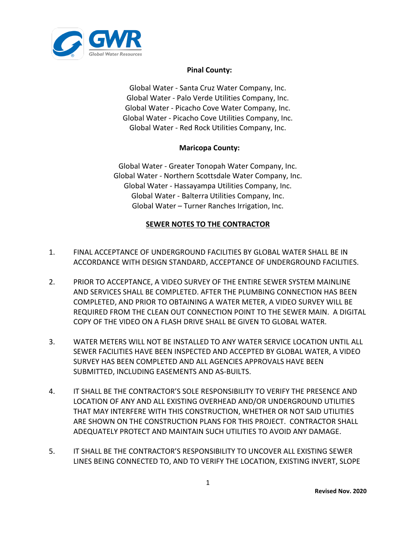

## **Pinal County:**

Global Water ‐ Santa Cruz Water Company, Inc. Global Water ‐ Palo Verde Utilities Company, Inc. Global Water ‐ Picacho Cove Water Company, Inc. Global Water ‐ Picacho Cove Utilities Company, Inc. Global Water - Red Rock Utilities Company, Inc.

## **Maricopa County:**

Global Water - Greater Tonopah Water Company, Inc. Global Water - Northern Scottsdale Water Company, Inc. Global Water - Hassayampa Utilities Company, Inc. Global Water - Balterra Utilities Company, Inc. Global Water – Turner Ranches Irrigation, Inc.

## **SEWER NOTES TO THE CONTRACTOR**

- 1. FINAL ACCEPTANCE OF UNDERGROUND FACILITIES BY GLOBAL WATER SHALL BE IN ACCORDANCE WITH DESIGN STANDARD, ACCEPTANCE OF UNDERGROUND FACILITIES.
- 2. PRIOR TO ACCEPTANCE, A VIDEO SURVEY OF THE ENTIRE SEWER SYSTEM MAINLINE AND SERVICES SHALL BE COMPLETED. AFTER THE PLUMBING CONNECTION HAS BEEN COMPLETED, AND PRIOR TO OBTAINING A WATER METER, A VIDEO SURVEY WILL BE REQUIRED FROM THE CLEAN OUT CONNECTION POINT TO THE SEWER MAIN. A DIGITAL COPY OF THE VIDEO ON A FLASH DRIVE SHALL BE GIVEN TO GLOBAL WATER.
- 3. WATER METERS WILL NOT BE INSTALLED TO ANY WATER SERVICE LOCATION UNTIL ALL SEWER FACILITIES HAVE BEEN INSPECTED AND ACCEPTED BY GLOBAL WATER, A VIDEO SURVEY HAS BEEN COMPLETED AND ALL AGENCIES APPROVALS HAVE BEEN SUBMITTED, INCLUDING EASEMENTS AND AS-BUILTS.
- 4. IT SHALL BE THE CONTRACTOR'S SOLE RESPONSIBILITY TO VERIFY THE PRESENCE AND LOCATION OF ANY AND ALL EXISTING OVERHEAD AND/OR UNDERGROUND UTILITIES THAT MAY INTERFERE WITH THIS CONSTRUCTION, WHETHER OR NOT SAID UTILITIES ARE SHOWN ON THE CONSTRUCTION PLANS FOR THIS PROJECT. CONTRACTOR SHALL ADEQUATELY PROTECT AND MAINTAIN SUCH UTILITIES TO AVOID ANY DAMAGE.
- 5. IT SHALL BE THE CONTRACTOR'S RESPONSIBILITY TO UNCOVER ALL EXISTING SEWER LINES BEING CONNECTED TO, AND TO VERIFY THE LOCATION, EXISTING INVERT, SLOPE